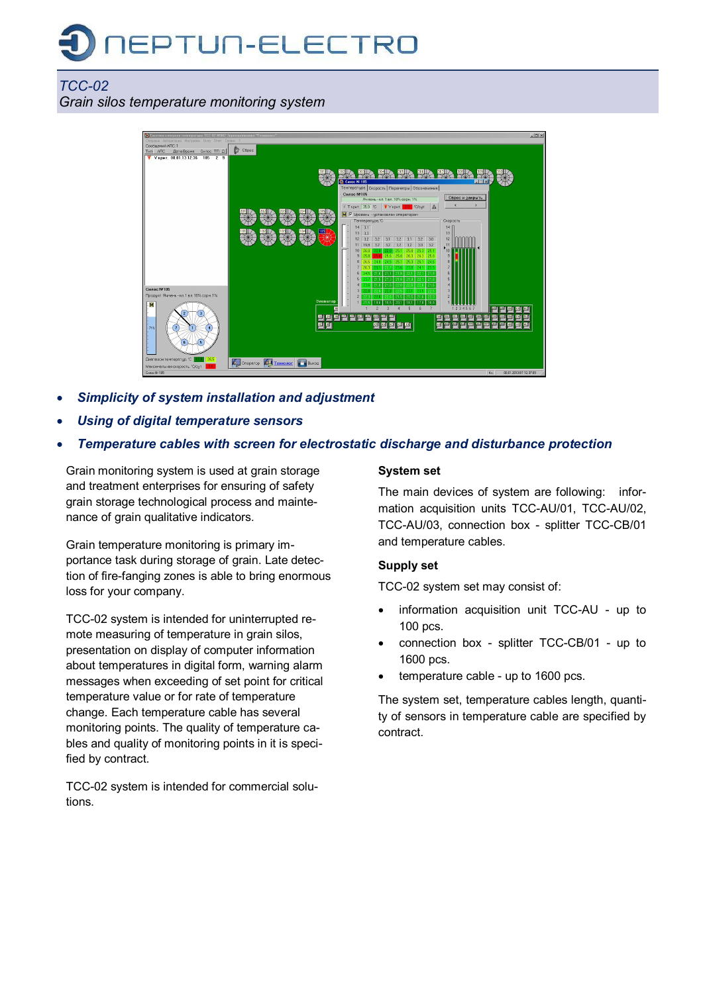# **IEPTUN-ELECTRO**

## *ТСС-02 Grain silos temperature monitoring system*



- · *Simplicity of system installation and adjustment*
- · *Using of digital temperature sensors*
- · *Temperature cables with screen for electrostatic discharge and disturbance protection*

Grain monitoring system is used at grain storage and treatment enterprises for ensuring of safety grain storage technological process and maintenance of grain qualitative indicators.

Grain temperature monitoring is primary importance task during storage of grain. Late detection of fire-fanging zones is able to bring enormous loss for your company.

ТСС-02 system is intended for uninterrupted remote measuring of temperature in grain silos, presentation on display of computer information about temperatures in digital form, warning alarm messages when exceeding of set point for critical temperature value or for rate of temperature change. Each temperature cable has several monitoring points. The quality of temperature cables and quality of monitoring points in it is specified by contract.

ТСС-02 system is intended for commercial solutions.

#### **System set**

The main devices of system are following: information acquisition units TCC-AU/01, TCC-AU/02, ТСС-AU/03, connection box - splitter ТСС-CB/01 and temperature cables.

## **Supply set**

ТСС-02 system set may consist of:

- information acquisition unit TCC-AU up to 100 pcs.
- connection box splitter TCC-CB/01 up to 1600 pcs.
- temperature cable up to 1600 pcs.

The system set, temperature cables length, quantity of sensors in temperature cable are specified by contract.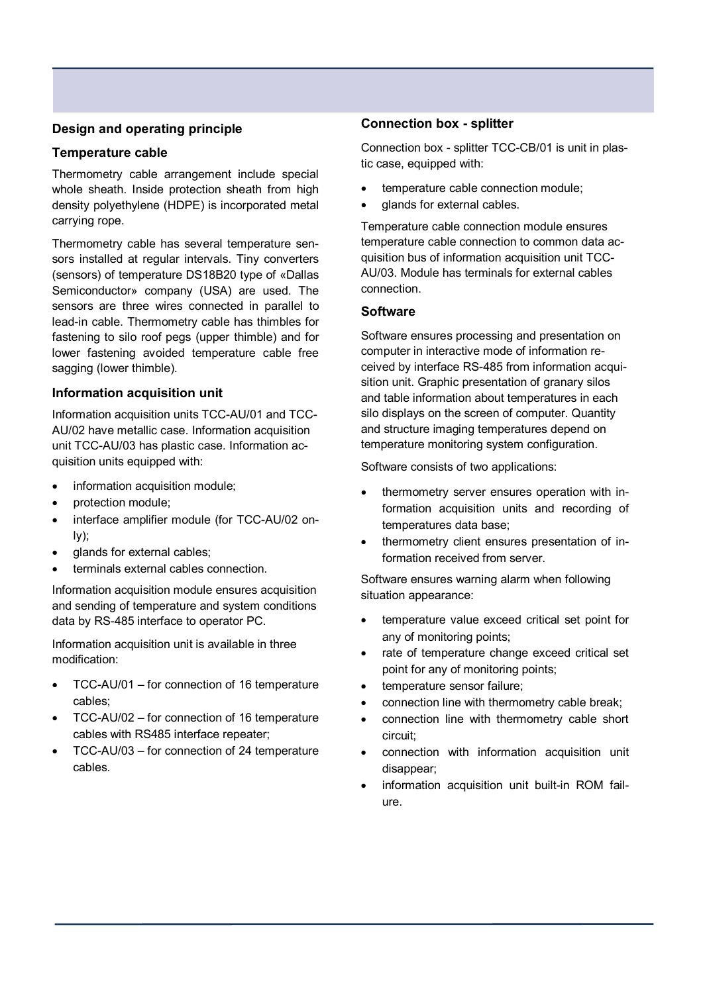### **Design and operating principle**

#### **Temperature cable**

Thermometry cable arrangement include special whole sheath. Inside protection sheath from high density polyethylene (HDPE) is incorporated metal carrying rope.

Thermometry cable has several temperature sensors installed at regular intervals. Tiny converters (sensors) of temperature DS18B20 type of «Dallas Semiconductor» company (USA) are used. The sensors are three wires connected in parallel to lead-in cable. Thermometry cable has thimbles for fastening to silo roof pegs (upper thimble) and for lower fastening avoided temperature cable free sagging (lower thimble).

#### **Information acquisition unit**

Information acquisition units ТСС-AU/01 and ТСС-AU/02 have metallic case. Information acquisition unit ТСС-AU/03 has plastic case. Information acquisition units equipped with:

- · information acquisition module;
- · protection module;
- interface amplifier module (for TCC-AU/02 only);
- · glands for external cables;
- terminals external cables connection.

Information acquisition module ensures acquisition and sending of temperature and system conditions data by RS-485 interface to operator PC.

Information acquisition unit is available in three modification:

- TCC-AU/01 for connection of 16 temperature cables;
- TCC-AU/02 for connection of 16 temperature cables with RS485 interface repeater;
- TCC-AU/03 for connection of 24 temperature cables.

#### **Connection box - splitter**

Connection box - splitter ТСС-CB/01 is unit in plastic case, equipped with:

- · temperature cable connection module;
- · glands for external cables.

Temperature cable connection module ensures temperature cable connection to common data acquisition bus of information acquisition unit ТСС-AU/03. Module has terminals for external cables connection.

#### **Software**

Software ensures processing and presentation on computer in interactive mode of information received by interface RS-485 from information acquisition unit. Graphic presentation of granary silos and table information about temperatures in each silo displays on the screen of computer. Quantity and structure imaging temperatures depend on temperature monitoring system configuration.

Software consists of two applications:

- · thermometry server ensures operation with information acquisition units and recording of temperatures data base;
- thermometry client ensures presentation of information received from server.

Software ensures warning alarm when following situation appearance:

- · temperature value exceed critical set point for any of monitoring points;
- · rate of temperature change exceed critical set point for any of monitoring points;
- · temperature sensor failure;
- connection line with thermometry cable break;
- · connection line with thermometry cable short circuit;
- · connection with information acquisition unit disappear;
- information acquisition unit built-in ROM failure.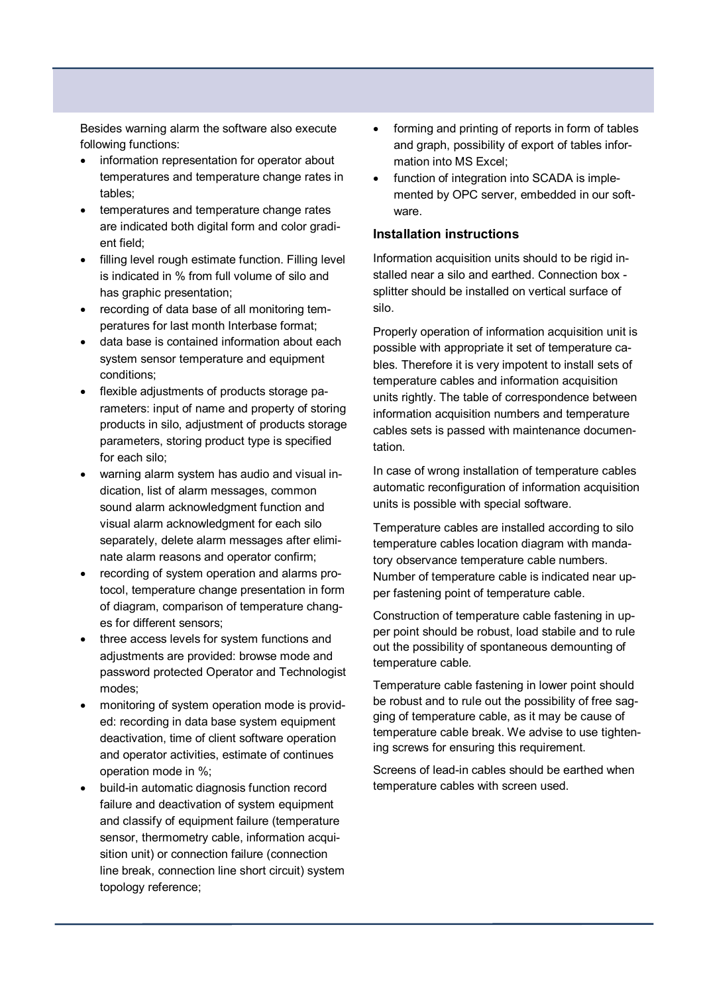Besides warning alarm the software also execute following functions:

- information representation for operator about temperatures and temperature change rates in tables;
- temperatures and temperature change rates are indicated both digital form and color gradient field;
- filling level rough estimate function. Filling level is indicated in % from full volume of silo and has graphic presentation;
- · recording of data base of all monitoring temperatures for last month Interbase format;
- data base is contained information about each system sensor temperature and equipment conditions;
- · flexible adjustments of products storage parameters: input of name and property of storing products in silo, adjustment of products storage parameters, storing product type is specified for each silo;
- · warning alarm system has audio and visual indication, list of alarm messages, common sound alarm acknowledgment function and visual alarm acknowledgment for each silo separately, delete alarm messages after eliminate alarm reasons and operator confirm;
- · recording of system operation and alarms protocol, temperature change presentation in form of diagram, comparison of temperature changes for different sensors;
- three access levels for system functions and adjustments are provided: browse mode and password protected Operator and Technologist modes;
- monitoring of system operation mode is provided: recording in data base system equipment deactivation, time of client software operation and operator activities, estimate of continues operation mode in %;
- · build-in automatic diagnosis function record failure and deactivation of system equipment and classify of equipment failure (temperature sensor, thermometry cable, information acquisition unit) or connection failure (connection line break, connection line short circuit) system topology reference;
- forming and printing of reports in form of tables and graph, possibility of export of tables information into MS Excel;
- function of integration into SCADA is implemented by OPC server, embedded in our software.

#### **Installation instructions**

Information acquisition units should to be rigid installed near a silo and earthed. Connection box splitter should be installed on vertical surface of silo.

Properly operation of information acquisition unit is possible with appropriate it set of temperature cables. Therefore it is very impotent to install sets of temperature cables and information acquisition units rightly. The table of correspondence between information acquisition numbers and temperature cables sets is passed with maintenance documentation.

In case of wrong installation of temperature cables automatic reconfiguration of information acquisition units is possible with special software.

Temperature cables are installed according to silo temperature cables location diagram with mandatory observance temperature cable numbers. Number of temperature cable is indicated near upper fastening point of temperature cable.

Construction of temperature cable fastening in upper point should be robust, load stabile and to rule out the possibility of spontaneous demounting of temperature cable.

Temperature cable fastening in lower point should be robust and to rule out the possibility of free sagging of temperature cable, as it may be cause of temperature cable break. We advise to use tightening screws for ensuring this requirement.

Screens of lead-in cables should be earthed when temperature cables with screen used.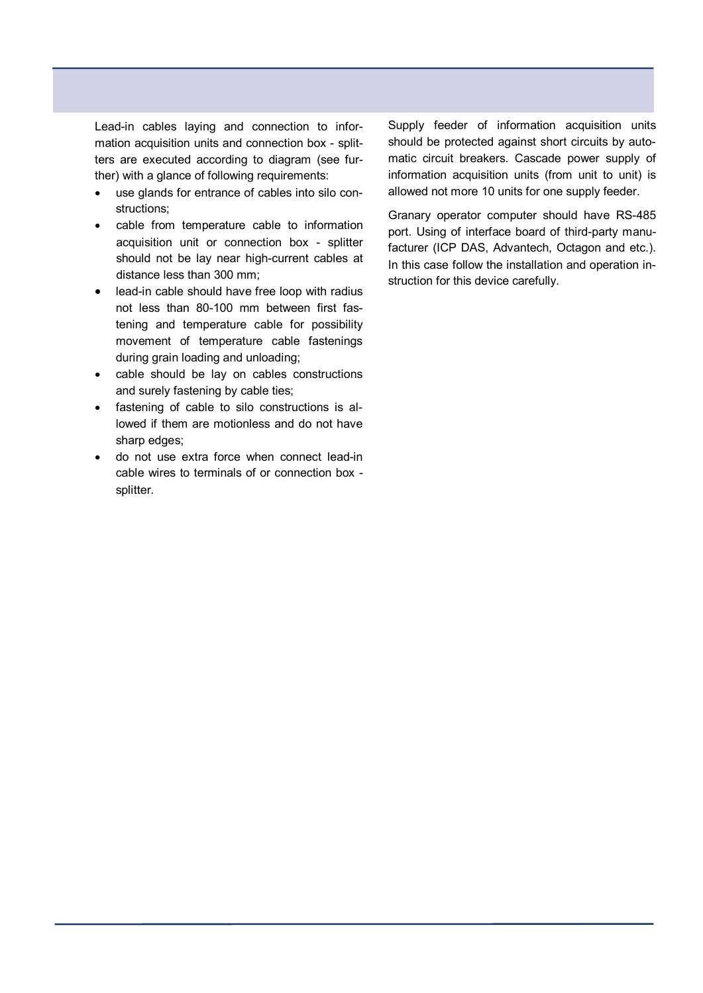Lead-in cables laying and connection to information acquisition units and connection box - splitters are executed according to diagram (see further) with a glance of following requirements:

- · use glands for entrance of cables into silo constructions;
- cable from temperature cable to information acquisition unit or connection box - splitter should not be lay near high-current cables at distance less than 300 mm;
- lead-in cable should have free loop with radius not less than 80-100 mm between first fastening and temperature cable for possibility movement of temperature cable fastenings during grain loading and unloading;
- · cable should be lay on cables constructions and surely fastening by cable ties;
- · fastening of cable to silo constructions is allowed if them are motionless and do not have sharp edges:
- · do not use extra force when connect lead-in cable wires to terminals of or connection box splitter.

Supply feeder of information acquisition units should be protected against short circuits by automatic circuit breakers. Cascade power supply of information acquisition units (from unit to unit) is allowed not more 10 units for one supply feeder.

Granary operator computer should have RS-485 port. Using of interface board of third-party manufacturer (ICP DAS, Advantech, Octagon and etc.). In this case follow the installation and operation instruction for this device carefully.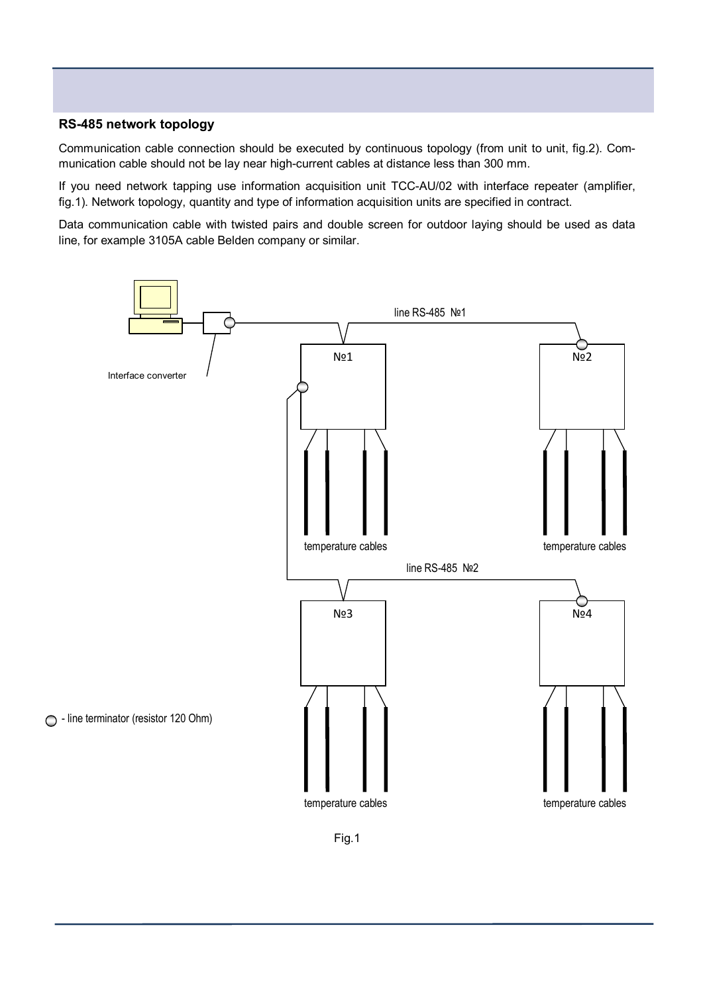#### **RS-485 network topology**

Communication cable connection should be executed by continuous topology (from unit to unit, fig.2). Communication cable should not be lay near high-current cables at distance less than 300 mm.

If you need network tapping use information acquisition unit TCC-AU/02 with interface repeater (amplifier, fig.1). Network topology, quantity and type of information acquisition units are specified in contract.

Data communication cable with twisted pairs and double screen for outdoor laying should be used as data line, for example 3105А cable Belden company or similar.



Fig.1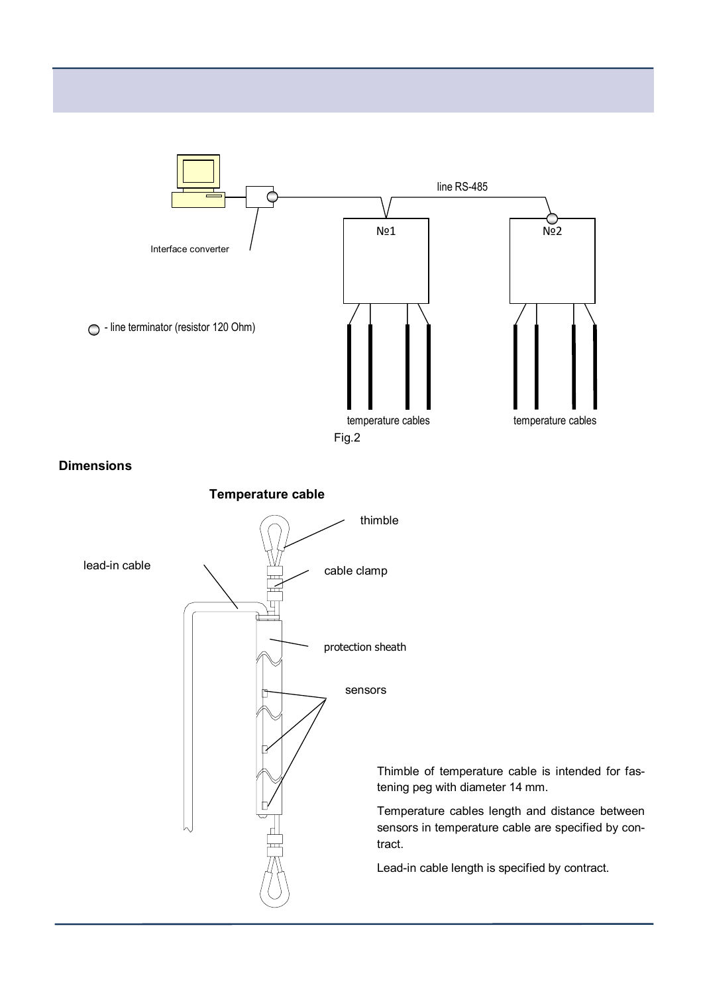

**Dimensions**

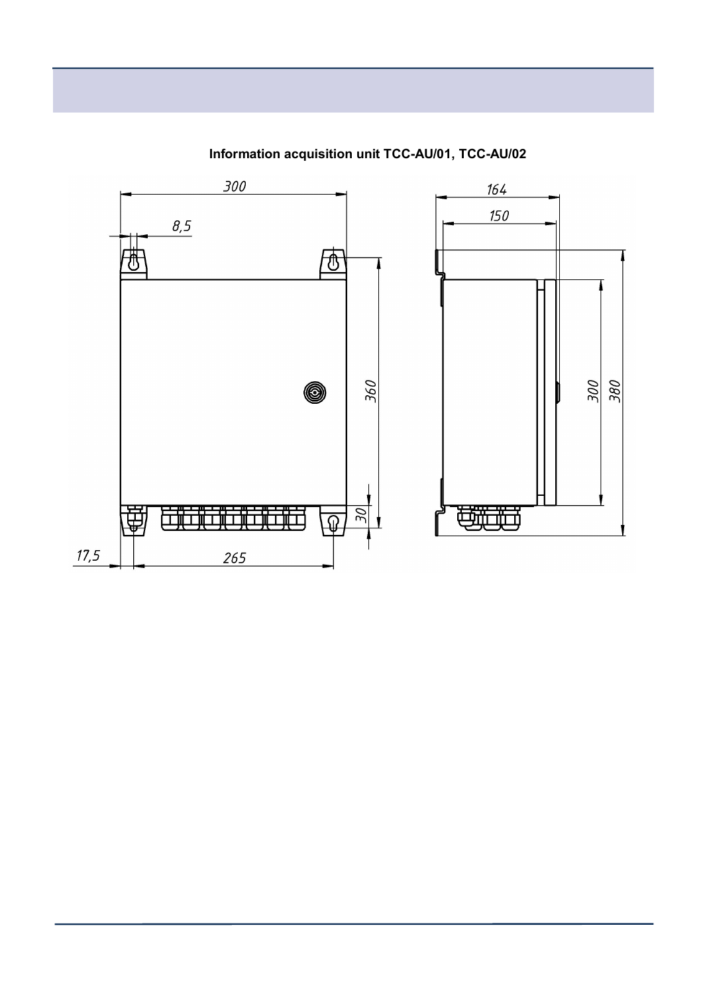

**Information acquisition unit ТСС-AU/01, ТСС-AU/02**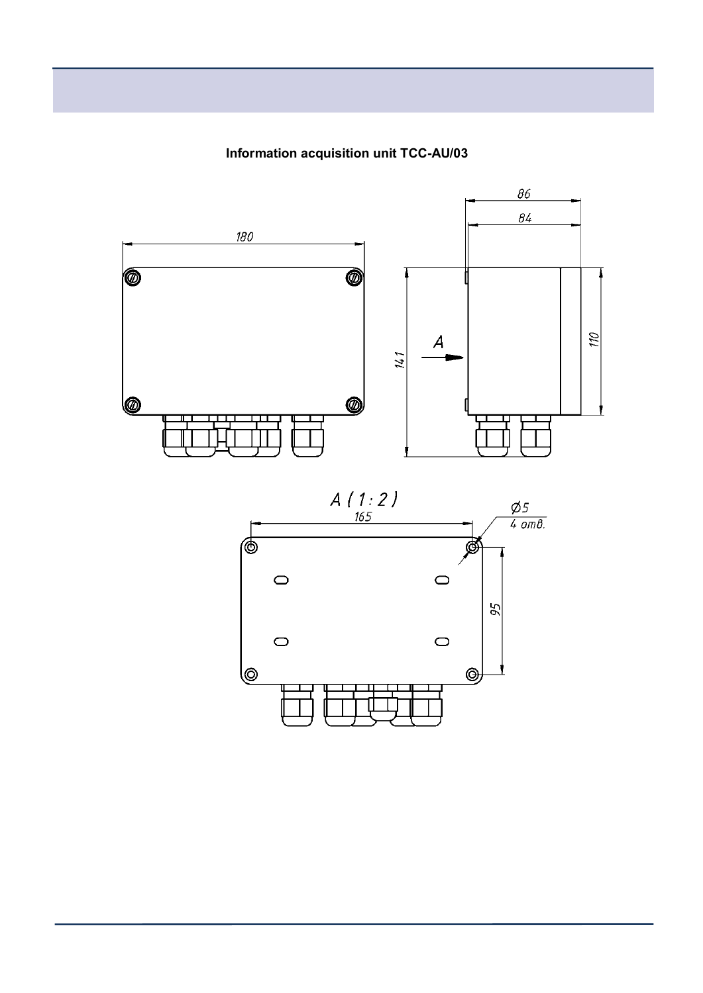Information acquisition unit TCC-AU/03



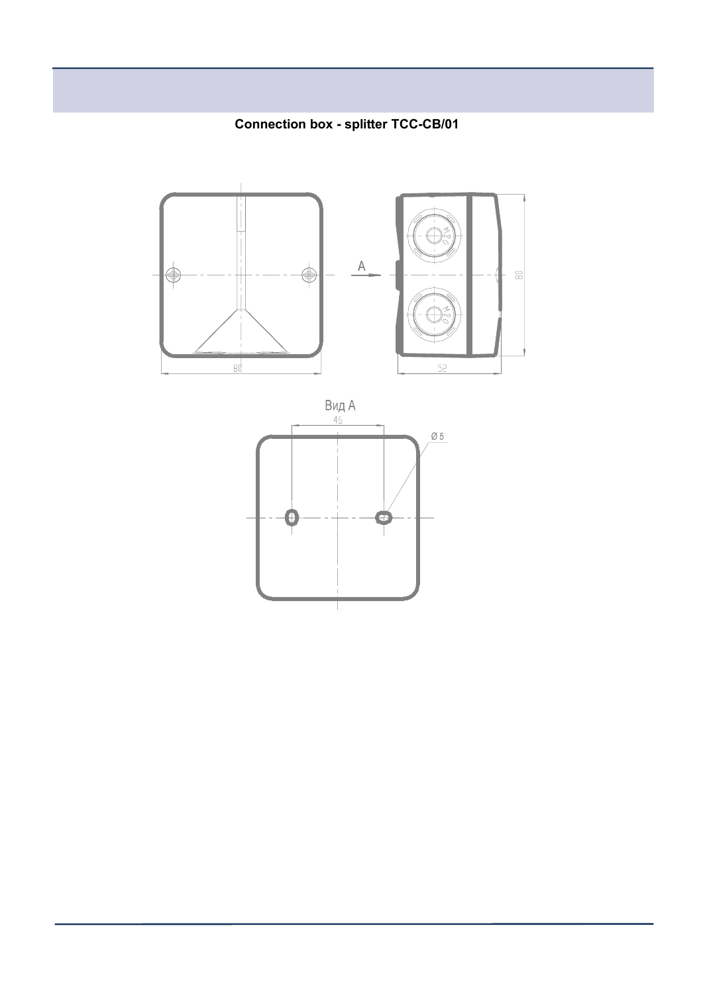**Connection box - splitter TCC-CB/01** 



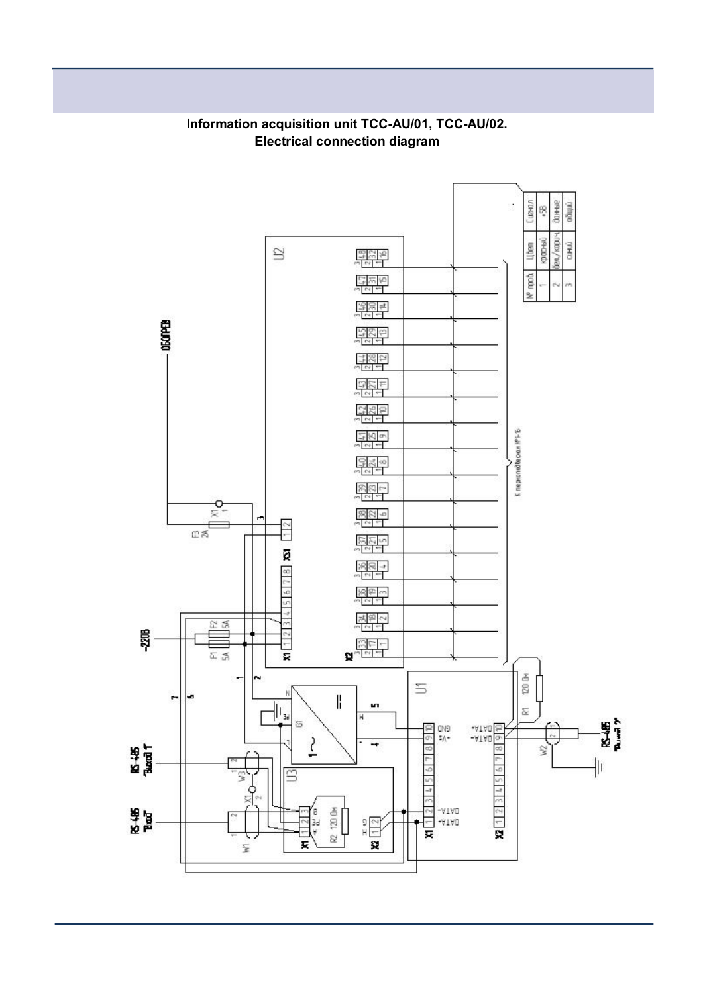

## **Information acquisition unit ТСС-AU/01, ТСС-AU/02. Electrical connection diagram**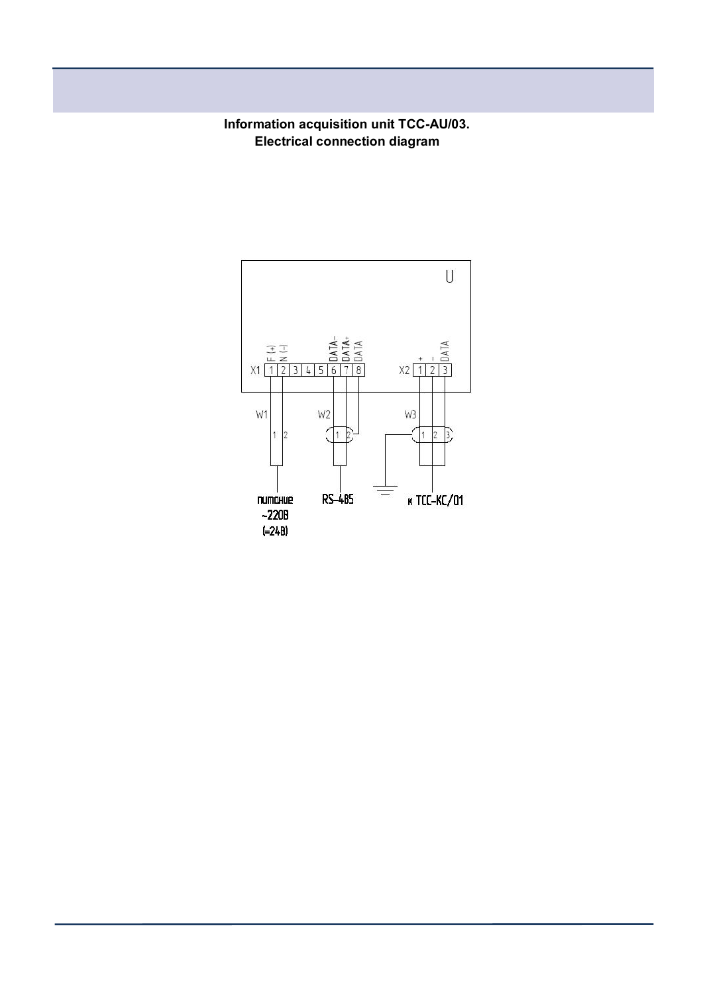**Information acquisition unit ТСС-AU/03. Electrical connection diagram**

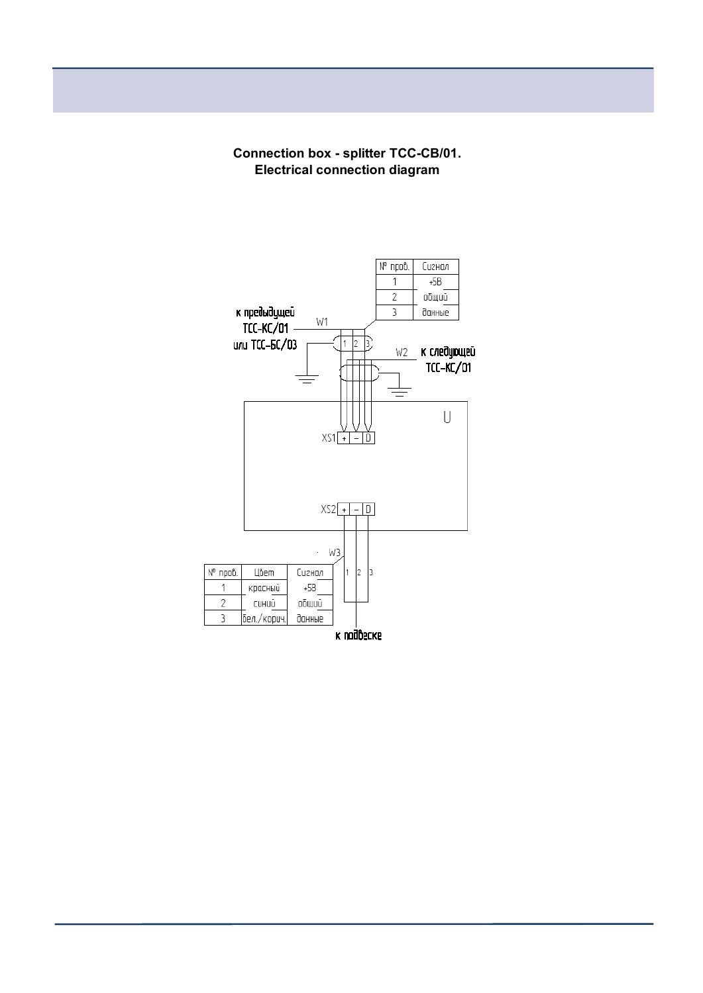**Connection box - splitter TCC-CB/01. Electrical connection diagram**